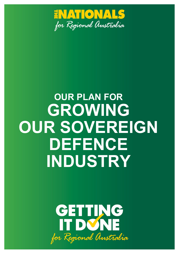

# **OUR PLAN FOR GROWING OUR SOVEREIGN DEFENCE INDUSTRY**

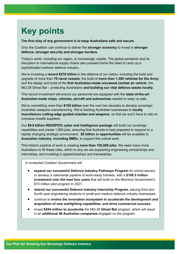# **Key points**

**The first duty of any government is to keep Australians safe and secure.** 

Only the Coalition can continue to deliver the **stronger economy** to invest in **stronger defence, stronger security and stronger borders.**

Today's world, including our region, is increasingly volatile. The global pandemic and its disruption to international supply chains also pressed home the need to ramp up a sophisticated onshore defence industry.

We're investing a **record \$270 billion** in the defence of our nation, including the build and upgrade of more than **70 naval vessels**; the build of **more than 1,300 vehicles for the Army**; and the design and build of the **first Australian-made uncrewed combat air vehicle**, the MQ-28 Ghost Bat – protecting Australians *and* **building our vital defence assets locally.** 

This record investment will ensure our personnel are equipped with the **state-of-the-art Australian-made ships, vehicles, aircraft and submarines** needed to keep us safe.

We're committing more than **\$100 billion** over the next two decades to develop sovereign Australian weapons manufacturing. We're backing Australian businesses to **locally manufacture cutting-edge guided missiles and weapons**, so that we won't have to rely on overseas missile suppliers.

Our **\$9.9 billion REDSPICE cyber and intelligence package** will build our sovereign capabilities and create 1,900 jobs, ensuring that Australia is best prepared to respond to a rapidly changing strategic environment. **\$5 billion in opportunities** will be available to **Australian industry, including SMEs**, to support this critical work.

This historic pipeline of work is creating **more than 105,000 jobs.** We need many more Australians to fill these roles, which is why we are supporting engineering scholarships and internships, and investing in apprenticeships and traineeships.

A re-elected Coalition Government will:

- **expand our successful Defence Industry Pathways Program** for school leavers to develop a nationwide pipeline of work-ready trainees, with a **\$108.5 million investment over the next four years** that will build on the Morrison Government's \$10 million pilot program in 2021.
- **extend our successful Defence Industry Internship Program**, placing third and fourth year engineering students in small and medium defence industry businesses.
- continue to **evolve the innovation ecosystem to accelerate the development and acquisition of new warfighting capabilities, and drive commercial success.**
- invest **\$454 million to accelerate** the MQ-28 **Ghost Bat** program, which will result in an **additional 46 Australian companies** engaged on the program.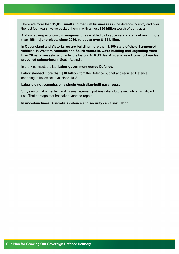There are more than **15,000 small and medium businesses** in the defence industry and over the last four years, we've backed them in with almost **\$30 billion worth of contracts**.

And our **strong economic management** has enabled us to approve and start delivering **more than 156 major projects since 2016, valued at over \$135 billion**.

In **Queensland and Victoria, we are building more than 1,300 state-of-the-art armoured vehicles**, in **Western Australia and South Australia, we're building and upgrading more than 70 naval vessels**, and under the historic AUKUS deal Australia we will construct **nuclear propelled submarines** in South Australia.

In stark contrast, the last **Labor government gutted Defence.**

**Labor slashed more than \$18 billion** from the Defence budget and reduced Defence spending to its lowest level since 1938.

**Labor did not commission a single Australian-built naval vessel**.

Six years of Labor neglect and mismanagement put Australia's future security at significant risk. That damage that has taken years to repair.

**In uncertain times, Australia's defence and security can't risk Labor.**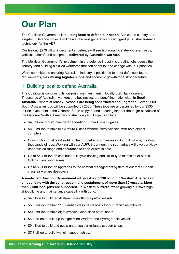# **Our Plan**

The Coalition Government is **building local to defend our nation**. Across the country, our long-term Defence projects will deliver the next generation of cutting-edge, Australian-made technology for the ADF.

Our historic \$270 billion investment in defence will see high-quality, state-of-the-art ships, vehicles, aircraft and equipment **delivered by Australian workers.**

The Morrison Government's investment in the defence industry is creating jobs across the country, and building a skilled workforce that can adapt to, and change with, our priorities.

We're committed to ensuring Australian industry is positioned to meet defence's future requirements, **maximising high-tech jobs** and economic growth for a stronger future.

# 1. Building local to defend Australia

The Coalition is continuing its long-running investment in locally-built Navy vessels. Thousands of Australian workers and businesses are benefiting nationwide. In **South Australia** – where **at least 28 vessels are being constructed and upgraded** – over 5,000 South Australian jobs will be supported by 2030. These jobs are underpinned by our \$535 million investment in the Osborne South shipyard and securing land for the major expansion of the Osborne North submarine construction yard. Projects include:

- \$45 billion to build nine next generation Hunter Class Frigates.
- \$800 million to build two Arafura Class Offshore Patrol vessels, with both almost complete.
- Construction of at least eight nuclear propelled submarines in South Australia, creating thousands of jobs. Working with our AUKUS partners, the submarines will give our Navy unparalleled range and endurance to keep Australia safe.
- Up to \$6.4 billion on continued full cycle docking and life-of-type extension of our six Collins class submarines.
- Up to \$5.1 billion on upgrades to the combat management system of our three Hobart class air warfare destroyers.

**A re-elected Coalition Government** will invest up to **\$30 billion in Western Australia on shipbuilding with the construction, and sustainment of more than 50 vessels. More than 2,000 local jobs are supported.** In Western Australia, we're growing our sovereign shipbuilding and maintenance capability with up to:

- \$4 billion to build ten Arafura class offshore patrol vessels.
- \$500 million to build 21 Guardian class patrol boats for our Pacific neighbours.
- \$440 million to build eight evolved Cape class patrol boats.
- \$6.4 billion to build up to eight Mine Warfare and Hydrographic vessels.
- \$9 billion to build and equip undersea surveillance support ships.
- \$7.7 billion to build two joint support ships.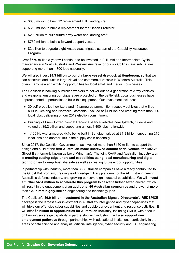- \$600 million to build 12 replacement LHD landing craft.
- \$650 million to build a replacement for the Ocean Protector.
- \$2.8 billion to build future army water and landing craft.
- \$750 million to build a forward support vessel.
- \$2 billion to upgrade eight Anzac class frigates as part of the Capability Assurance Program.

Over \$670 million a year will continue to be invested in Full, Mid and Intermediate Cycle maintenance in South Australia and Western Australia for our six Collins class submarines, supporting more than 1,300 jobs nationally.

We will also invest **\$4.3 billion to build a large vessel dry-dock at Henderson,** so that we can construct and sustain large Naval and commercial vessels in Western Australia. This offers many new and exciting opportunities for local small and medium businesses.

The Coalition is backing Australian workers to deliver our next generation of Army vehicles and weapons, ensuring our diggers are protected on the battlefield. Local businesses have unprecedented opportunities to build this equipment. Our investment includes:

- 30 self-propelled howitzers and 15 armoured ammunition resupply vehicles that will be built in Geelong and Northern Tasmania – valued at \$1 billion and creating more than 300 local jobs, delivering on our 2019 election commitment.
- Building 211 new Boxer Combat Reconnaissance vehicles near Ipswich, Queensland, valued at \$5.2 billion and supporting almost 1,400 jobs nationwide.
- 1,100 Hawkei armoured 4x4s being built in Bendigo, valued at \$1.3 billion, supporting 210 local jobs and another 180 in the supply chain nationally.

Since 2017, the Coalition Government has invested more than \$150 million to support the design and build of the **first Australian-made uncrewed combat aerial vehicle, the MQ-28 Ghost Bat** (formerly known as Loyal Wingman). The joint RAAF and Australian industry team is **creating cutting-edge uncrewed capabilities using local manufacturing and digital technologies** to keep Australia safe as well as creating future export opportunities.

In partnership with industry, more than 35 Australian companies have already contributed to the Ghost Bat program, creating leading-edge military platforms for the ADF, strengthening Australia's defence industry, and growing our sovereign industrial capabilities. We will **invest a further \$454 million to accelerate this program** to deliver a further seven aircraft, which will result in the engagement of an **additional 46 Australian companies** and growth of more than **120 direct highly-skilled** engineering and technology jobs.

The Coalition's **\$9.9 billion investment in the Australian Signals Directorate's REDSPICE**  package is the largest ever investment in Australia's intelligence and cyber capabilities that will triple our offensive cyber capabilities and double our cyber hunt and response activities. It will offer **\$5 billion in opportunities for Australian industry**, including SMEs, with a focus on building sovereign capability in partnership with industry. It will also **support new employment pathways** through partnerships with educational institutions, particularly in the areas of data science and analysis, artificial intelligence, cyber security and ICT engineering.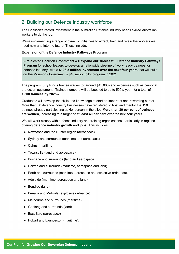### 2. Building our Defence industry workforce

The Coalition's record investment in the Australian Defence industry needs skilled Australian workers to do the job.

We're implementing a range of dynamic initiatives to attract, train and retain the workers we need now and into the future. These include:

#### **Expansion of the Defence Industry Pathways Program**

A re-elected Coalition Government will **expand our successful Defence Industry Pathways Program** for school leavers to develop a nationwide pipeline of work-ready trainees for defence industry, with a **\$108.5 million investment over the next four years** that will build on the Morrison Government's \$10 million pilot program in 2021.

The program **fully funds** trainee wages (of around \$45,000) and expenses such as personal protection equipment. Trainee numbers will be boosted to up to 500 a year, for a total of **1,500 trainees by 2025-26**.

Graduates will develop the skills and knowledge to start an important and rewarding career. More than 50 defence industry businesses have registered to host and mentor the 120 trainees already participating at Henderson in the pilot. **More than 30 per cent of trainees are women,** increasing to a target **of at least 40 per cent** over the next four years.

We will work closely with defence industry and training organisations, particularly in regions offering **defence industry growth and jobs**. This includes:

- Newcastle and the Hunter region (aerospace).
- Sydney and surrounds (maritime and aerospace).
- Cairns (maritime).
- Townsville (land and aerospace).
- Brisbane and surrounds (land and aerospace).
- Darwin and surrounds (maritime, aerospace and land).
- Perth and surrounds (maritime, aerospace and explosive ordnance).
- Adelaide (maritime, aerospace and land).
- Bendigo (land).
- Benalla and Mulwala (explosive ordnance).
- Melbourne and surrounds (maritime).
- Geelong and surrounds (land).
- East Sale (aerospace).
- Hobart and Launceston (maritime).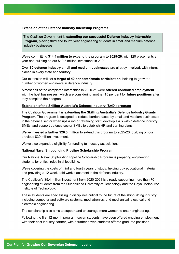#### **Extension of the Defence Industry Internship Programs**

The Coalition Government is **extending our successful Defence Industry Internship Program**, placing third and fourth year engineering students in small and medium defence industry businesses.

We're committing **\$14.4 million to expand the program to 2025-26**, with 120 placements a year and building on our \$10.3 million investment in 2020.

Over **60 defence industry small and medium businesses** are already involved, with interns placed in every state and territory.

Our extension will set a **target of 40 per cent female participation**, helping to grow the number of women engineers in defence industry.

Almost half of the completed internships in 2020-21 were **offered continued employment**  with the host businesses, which are considering another 15 per cent for **future positions** after they complete their degree.

#### **Extension of the Skilling Australia's Defence Industry (SADI) program**

The Coalition Government is **extending the Skilling Australia's Defence Industry Grants Program**. The program is designed to reduce barriers faced by small and medium businesses in the defence sector when upskilling or retraining staff; develop skills within defence industry SMEs; and support defence sector SMEs to establish HR and training plans.

We've invested a **further \$20.3 million** to extend this program to 2025-26, building on our previous \$39 million investment.

We've also expanded eligibility for funding to industry associations.

#### **National Naval Shipbuilding Pipeline Scholarship Program**

Our National Naval Shipbuilding Pipeline Scholarship Program is preparing engineering students for critical roles in shipbuilding.

We're covering the costs of third and fourth years of study, helping buy educational material and providing a 12-week paid work placement in the defence industry.

The Coalition's \$5.4 million investment from 2020-2023 is already supporting more than 70 engineering students from the Queensland University of Technology and the Royal Melbourne Institute of Technology.

These students are specialising in disciplines critical to the future of the shipbuilding industry, including computer and software systems, mechatronics, and mechanical, electrical and electronic engineering.

The scholarship also aims to support and encourage more women to enter engineering.

Following the first 12-month program, seven students have been offered ongoing employment with their host industry partner, with a further seven students offered graduate positions.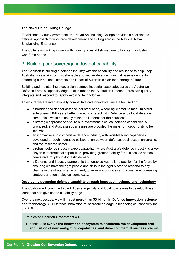#### **The Naval Shipbuilding College**

Established by our Government, the Naval Shipbuilding College provides a coordinated, national approach to workforce development and skilling across the National Naval Shipbuilding Enterprise.

The College is working closely with industry to establish medium to long-term industry workforce needs.

### 3. Building our sovereign industrial capability

The Coalition is building a defence industry with the capability and resilience to help keep Australians safe. A strong, sustainable and secure defence industrial base is central to defending our national interests and is part of Australia's plan for a stronger future.

Building and maintaining a sovereign defence industrial base safeguards the Australian Defence Force's capability edge. It also means the Australian Defence Force can quickly integrate and respond to rapidly evolving technologies.

To ensure we are internationally competitive and innovative, we are focused on:

- a broader and deeper defence industrial base, where agile small to medium-sized enterprises (SMEs) are better placed to interact with Defence and global defence companies, while not solely reliant on Defence for their success.
- a strategic approach to ensure our investment in critical defence capabilities is prioritised, and Australian businesses are provided the maximum opportunity to be involved.
- an innovative and competitive defence industry with world-leading capabilities, developed through increased collaboration between defence, businesses, universities and the research sector.
- a robust defence industry export capability, where Australia's defence industry is a key player in international capabilities, providing greater stability for businesses across peaks and troughs in domestic demand.
- a Defence and industry partnership that enables Australia to position for the future by ensuring we have the right people and skills in the right places to respond to any change in the strategic environment, to seize opportunities and to manage increasing strategic and technological complexity.

#### **Developing sovereign defence capability through innovation, science and technology**

The Coalition will continue to back Aussie ingenuity and local businesses to develop those ideas that can give us the capability edge.

Over the next decade, we will **invest more than \$3 billion in Defence innovation, science and technology**. Our Defence innovation must create an edge in technological capability for our ADF.

A re-elected Coalition Government will:

● continue to **evolve the innovation ecosystem to accelerate the development and acquisition of new warfighting capabilities, and drive commercial success**. We will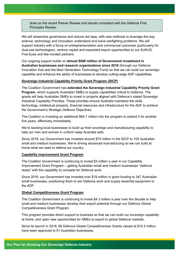draw on the recent Peever Review and remain consistent with the Defence First Principles Review.

We will streamline governance and reduce red tape, with new methods to leverage the way science, technology and innovation understand and solve warfighting problems. We will support industry with a focus on entrepreneurialism and commercial outcomes (particularly for dual-use technologies), venture capital and expanded export opportunities to our AUKUS, Five-Eyes and like-minded partners.

Our ongoing support builds on **almost \$600 million of Government investment in Australian businesses and research organisations since 2016** (through our Defence Innovation Hub and the Next Generation Technology Fund) so that we can build our sovereign capability and enhance the ability of businesses to develop cutting-edge ADF capabilities.

#### **Sovereign Industrial Capability Priority Grant Program (SICP)**

The Coalition Government has **extended the Sovereign Industrial Capability Priority Grant Program**, which supports Australian SMEs to supply capabilities critical to Defence. The grants will help Australian SMEs to invest in projects aligned with Defence's stated Sovereign Industrial Capability Priorities. These priorities ensure Australia maintains the skills, technology, intellectual property, financial resources and infrastructure for the ADF to achieve the Government's Strategic Defence Objectives.

The Coalition is investing an additional \$84.7 million into the program to extend it for another five years, effectively immediately.

We're backing local businesses to build up their sovereign and manufacturing capability to help our men and women in uniform keep Australia safe.

Since 2018, our Government has invested around \$70 million in the SICP to 105 Australian small and medium businesses. We're driving advanced manufacturing so we can build at home what we need to defend our country.

#### **Capability Improvement Grant Program**

The Coalition Government is continuing to invest \$3 million a year in our Capability Improvement Grant Program – getting Australian small and medium businesses "defence ready" with the capability to compete for Defence work.

Since 2016, our Government has invested over \$19 million in grant funding to 347 Australian small businesses, positioning them to win Defence work and supply essential equipment to the ADF.

#### **Global Competitiveness Grant Program**

The Coalition Government is continuing to invest \$4.3 million a year over the decade to help small and medium businesses develop their export potential through our Defence Global Competitiveness Grant Program.

This program provides direct support to business so that we can build our sovereign capability at home, and open new opportunities for SMEs to export to global Defence markets.

Since its launch in 2018, 68 Defence Global Competitiveness Grants valued at \$10.4 million have been approved to 51 Australian businesses.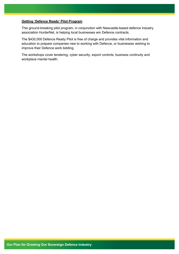#### **Getting 'Defence Ready' Pilot Program**

This ground-breaking pilot program, in conjunction with Newcastle-based defence industry association HunterNet, is helping local businesses win Defence contracts.

The \$430,000 Defence Ready Pilot is free of charge and provides vital information and education to prepare companies new to working with Defence, or businesses wishing to improve their Defence work bidding.

The workshops cover tendering, cyber security, export controls, business continuity and workplace mental health.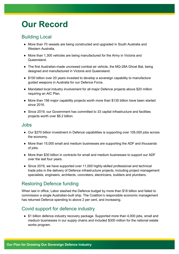# **Our Record**

# Building Local

- More than 70 vessels are being constructed and upgraded in South Australia and Western Australia.
- More than 1,300 vehicles are being manufactured for the Army in Victoria and Queensland.
- The first Australian-made uncrewed combat air vehicle, the MQ-28A Ghost Bat, being designed and manufactured in Victoria and Queensland.
- \$100 billion over 20 years invested to develop a sovereign capability to manufacture guided weapons in Australia for our Defence Force.
- Mandated local industry involvement for all major Defence projects above \$20 million requiring an AIC Plan.
- More than 156 major capability projects worth more than \$135 billion have been started since 2016.
- Since 2019, our Government has committed to 33 capital infrastructure and facilities projects worth over \$6.2 billion.

### Jobs

- Our \$270 billion investment in Defence capabilities is supporting over 105,000 jobs across the economy.
- More than 15,000 small and medium businesses are supporting the ADF and thousands of jobs.
- More than \$30 billion in contracts for small and medium businesses to support our ADF over the last four years.
- Since 2019, we have supported over 11,000 highly-skilled professional and technical trade jobs in the delivery of Defence infrastructure projects, including project management specialists, engineers, architects, concreters, electricians, builders and plumbers.

# Restoring Defence funding

When last in office, Labor slashed the Defence budget by more than \$18 billion and failed to commission a single Australian-built ship. The Coalition's responsible economic management has returned Defence spending to above 2 per cent, and increasing.

# Covid support for defence industry

● \$1 billion defence industry recovery package. Supported more than 4,000 jobs, small and medium businesses in our supply chains and included \$300 million for the national estate works program.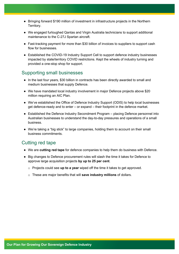- Bringing forward \$190 million of investment in infrastructure projects in the Northern Territory.
- We engaged furloughed Qantas and Virgin Australia technicians to support additional maintenance to the C-27J Spartan aircraft.
- Fast-tracking payment for more than \$30 billion of invoices to suppliers to support cash flow for businesses.
- Established the COVID-19 Industry Support Cell to support defence industry businesses impacted by state/territory COVID restrictions. Kept the wheels of industry turning and provided a one-stop shop for support.

### Supporting small businesses

- In the last four years, \$30 billion in contracts has been directly awarded to small and medium businesses that supply Defence.
- We have mandated local industry involvement in major Defence projects above \$20 million requiring an AIC Plan.
- We've established the Office of Defence Industry Support (ODIS) to help local businesses get defence-ready and to enter – or expand – their footprint in the defence market.
- Established the Defence Industry Secondment Program placing Defence personnel into Australian businesses to understand the day-to-day pressures and operations of a small business.
- We're taking a "big stick" to large companies, holding them to account on their small business commitments.

### Cutting red tape

- We are **cutting red tape** for defence companies to help them do business with Defence.
- Big changes to Defence procurement rules will slash the time it takes for Defence to approve large acquisition projects **by up to 25 per cent**.
	- o Projects could see **up to a year** wiped off the time it takes to get approved.
	- o These are major benefits that will **save industry millions** of dollars.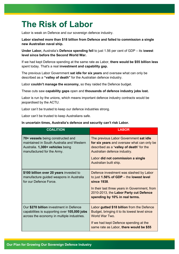# **The Risk of Labor**

Labor is weak on Defence and our sovereign defence industry.

**Labor slashed more than \$18 billion from Defence and failed to commission a single new Australian naval ship.**

**Under Labor,** Australia's **Defence spending fell** to just 1.56 per cent of GDP – its l**owest level since before the Second World War.** 

If we had kept Defence spending at the same rate as Labor, **there would be \$55 billion less**  spent today. That's a real **investment and capability gap.**

The previous Labor Government **sat idle for six years** and oversaw what can only be described as a **"valley of death"** for the Australian defence industry.

Labor **couldn't manage the economy,** so they raided the Defence budget.

These cuts saw **capability gaps** open and **thousands of defence industry jobs lost.**

Labor is run by the unions, which means important defence industry contracts would be jeopardised by the ACTU.

Labor can't be trusted to keep our defence industries strong.

Labor can't be trusted to keep Australians safe.

#### **In uncertain times, Australia's defence and security can't risk Labor.**

| <b>COALITION</b>                                                                                                                                 | <b>LABOR</b>                                                                                                                                                                                                                    |
|--------------------------------------------------------------------------------------------------------------------------------------------------|---------------------------------------------------------------------------------------------------------------------------------------------------------------------------------------------------------------------------------|
| 70+ vessels being constructed and<br>maintained in South Australia and Western<br>Australia. 1,300+ vehicles being<br>manufactured for the Army. | The previous Labor Government sat idle<br>for six years and oversaw what can only be<br>described as a 'valley of death' for the<br>Australian defence industry.<br>Labor did not commission a single<br>Australian built ship. |
| \$100 billion over 20 years invested to<br>manufacture guided weapons in Australia<br>for our Defence Force.                                     | Defence investment was slashed by Labor<br>to just 1.56% of GDP - the lowest level<br>since 1938.<br>In their last three years in Government, from<br>2010-2013, the Labor Party cut Defence<br>spending by 10% in real terms.  |
| Our \$270 billion investment in Defence<br>capabilities is supporting over 105,000 jobs<br>across the economy in multiple industries.            | Labor gutted \$18 billion from the Defence<br>Budget, bringing it to its lowest level since<br>World War Two.<br>If we had kept Defence spending at the<br>same rate as Labor, there would be \$55                              |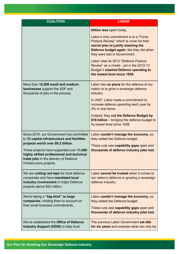| <b>COALITION</b>                                                                                                                                                                                                                                                                             | <b>LABOR</b>                                                                                                                                                                                                                                                                                                                                                                                             |
|----------------------------------------------------------------------------------------------------------------------------------------------------------------------------------------------------------------------------------------------------------------------------------------------|----------------------------------------------------------------------------------------------------------------------------------------------------------------------------------------------------------------------------------------------------------------------------------------------------------------------------------------------------------------------------------------------------------|
|                                                                                                                                                                                                                                                                                              | billion less spent today.<br>Labor's only commitment is to a "Force"<br>Posture Review" which is cover for their<br>secret plan to justify slashing the<br>Defence budget again, like they did when<br>they were last in Government.<br>Labor cites its 2012 "Defence Posture<br>Review" as a model - yet in the 2012-13<br><b>Budget it slashed Defence spending to</b><br>the lowest level since 1938. |
| More than 15,000 small and medium<br><b>businesses</b> support the ADF and<br>thousands of jobs in the process.                                                                                                                                                                              | Labor has <b>no plans</b> for the defence of our<br>nation or to grow a sovereign defence<br>industry.<br>In 2007, Labor made a commitment to<br>increase defence spending each year by<br>3% in real terms.<br>Instead, they cut the Defence Budget by<br>\$18 billion – bringing the defence budget to<br>its lowest level since 1938.                                                                 |
| Since 2019, our Government has committed<br>to 33 capital infrastructure and facilities<br>projects worth over \$6.2 billion.<br>These projects have supported over 11,000<br>highly skilled professional and technical<br>trade jobs in the delivery of Defence<br>infrastructure projects. | Labor couldn't manage the economy, so<br>they raided the Defence budget.<br>These cuts saw capability gaps open and<br>thousands of defence industry jobs lost.                                                                                                                                                                                                                                          |
| We are cutting red tape for local defence<br>companies and have mandated local<br>industry involvement in major Defence<br>projects above \$20 million.                                                                                                                                      | Labor cannot be trusted when it comes to<br>our nation's defence or growing a sovereign<br>defence industry.                                                                                                                                                                                                                                                                                             |
| We're taking a "big stick" to large<br>companies, holding them to account on<br>their small business commitments.                                                                                                                                                                            | Labor couldn't manage the economy, so<br>they raided the Defence budget.<br>These cuts saw capability gaps open and<br>thousands of defence industry jobs lost.                                                                                                                                                                                                                                          |
| We've established the Office of Defence<br>Industry Support (ODIS) to help local                                                                                                                                                                                                             | The previous Labor Government sat idle<br>for six years and oversaw what can only be                                                                                                                                                                                                                                                                                                                     |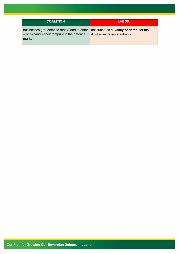| <b>COALITION</b>                                                                                                                                      | <b>LABOR</b>                 |
|-------------------------------------------------------------------------------------------------------------------------------------------------------|------------------------------|
| businesses get "defence ready" and to enter   described as a 'valley of death' for the<br>$-$ or expand $-$ their footprint in the defence<br>market. | Australian defence industry. |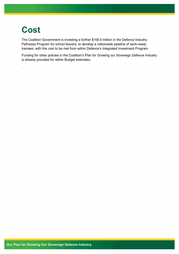# **Cost**

.

The Coalition Government is investing a further \$108.5 million in the Defence Industry Pathways Program for school leavers, to develop a nationwide pipeline of work-ready trainees, with this cost to be met from within Defence's Integrated Investment Program.

Funding for other policies in the Coalition's Plan for Growing our Sovereign Defence Industry is already provided for within Budget estimates.